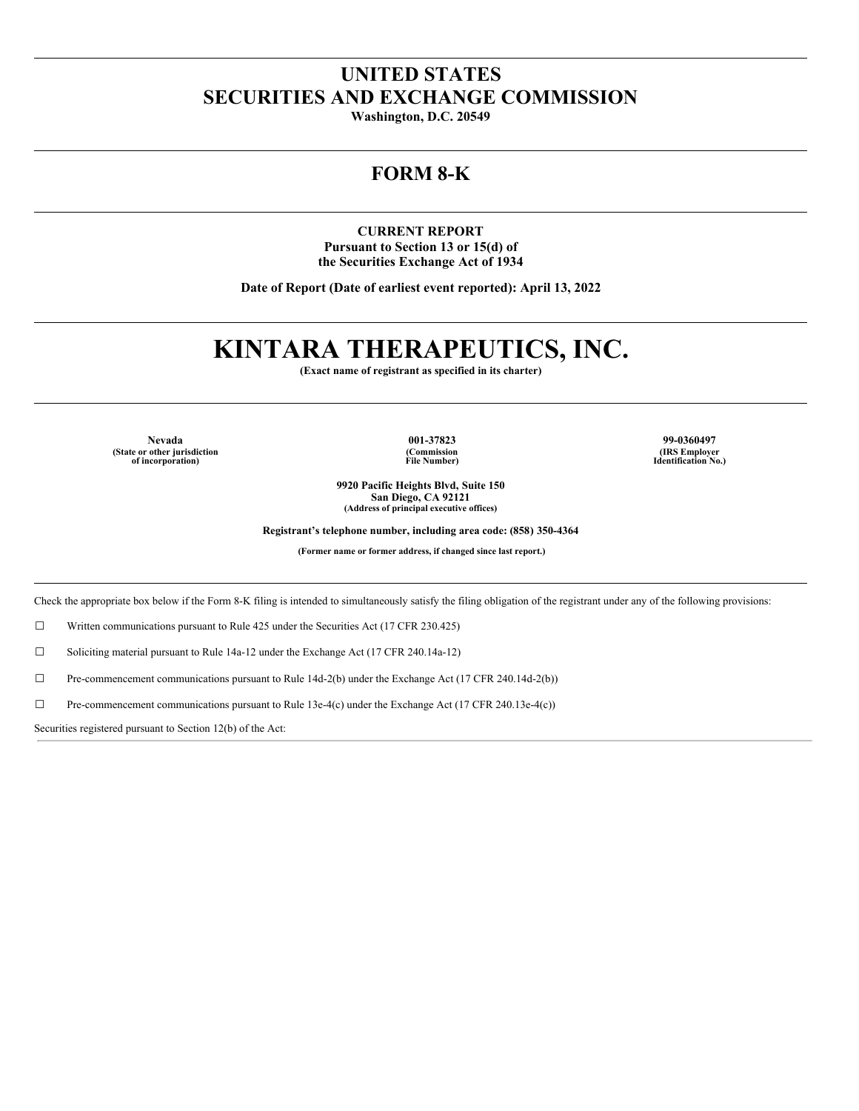# **UNITED STATES SECURITIES AND EXCHANGE COMMISSION**

**Washington, D.C. 20549**

# **FORM 8-K**

**CURRENT REPORT Pursuant to Section 13 or 15(d) of the Securities Exchange Act of 1934**

**Date of Report (Date of earliest event reported): April 13, 2022**

# **KINTARA THERAPEUTICS, INC.**

**(Exact name of registrant as specified in its charter)**

**(State or other jurisdiction of incorporation)**

**(Commission File Number)**

**9920 Pacific Heights Blvd, Suite 150 San Diego, CA 92121 (Address of principal executive offices)**

**Nevada 001-37823 99-0360497 (IRS Employer Identification No.)**

**Registrant's telephone number, including area code: (858) 350-4364**

**(Former name or former address, if changed since last report.)**

Check the appropriate box below if the Form 8-K filing is intended to simultaneously satisfy the filing obligation of the registrant under any of the following provisions:

☐ Written communications pursuant to Rule 425 under the Securities Act (17 CFR 230.425)

☐ Soliciting material pursuant to Rule 14a-12 under the Exchange Act (17 CFR 240.14a-12)

☐ Pre-commencement communications pursuant to Rule 14d-2(b) under the Exchange Act (17 CFR 240.14d-2(b))

 $\Box$  Pre-commencement communications pursuant to Rule 13e-4(c) under the Exchange Act (17 CFR 240.13e-4(c))

Securities registered pursuant to Section 12(b) of the Act: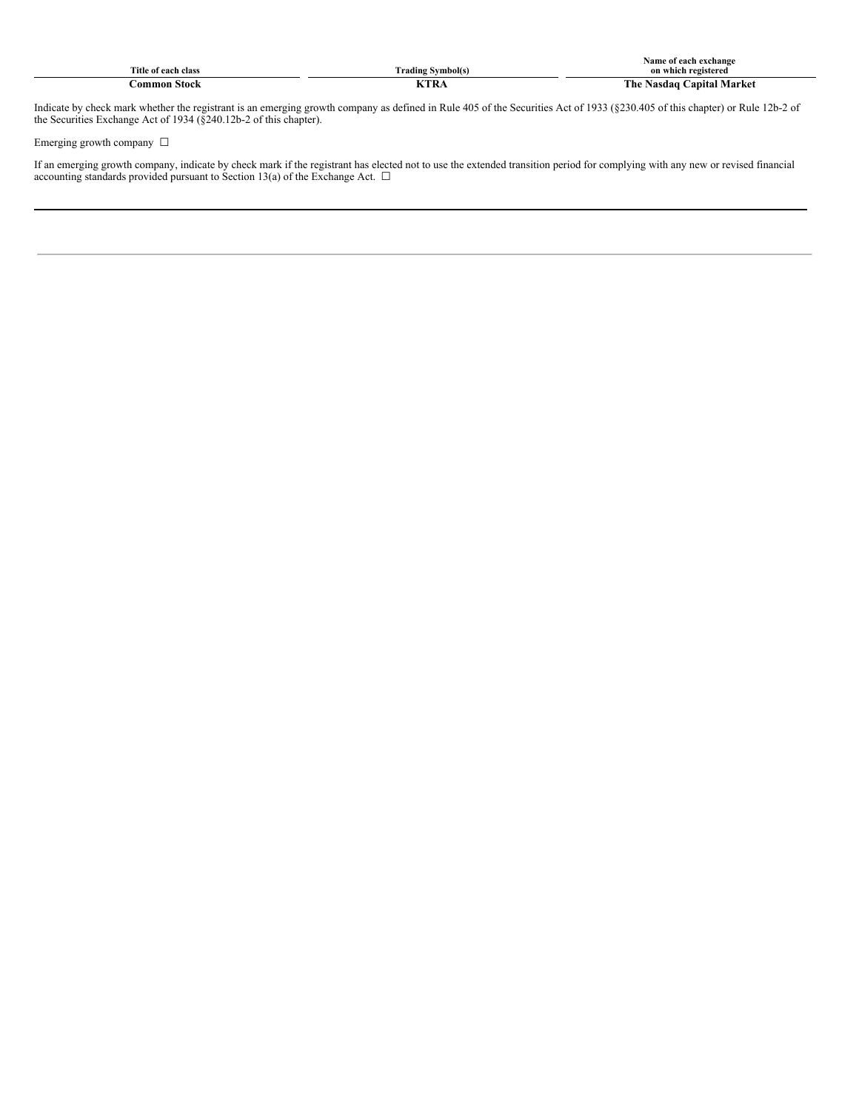| $\sim$              |                    | ≅ ot each exchange<br>Name                      |
|---------------------|--------------------|-------------------------------------------------|
| ïtle<br>clas<br>ooh | rading<br>Symbol(s | ---<br>11storod<br>3000                         |
| $\sim$<br>Stock     | l⁄тd<br><b>RIN</b> | Vlarke<br>r ne-<br>anıtal<br>30 Q Q<br>— чазиае |

Indicate by check mark whether the registrant is an emerging growth company as defined in Rule 405 of the Securities Act of 1933 (§230.405 of this chapter) or Rule 12b-2 of the Securities Exchange Act of 1934 (§240.12b-2 of this chapter).

Emerging growth company  $\ \Box$ 

If an emerging growth company, indicate by check mark if the registrant has elected not to use the extended transition period for complying with any new or revised financial accounting standards provided pursuant to Section 13(a) of the Exchange Act.  $\Box$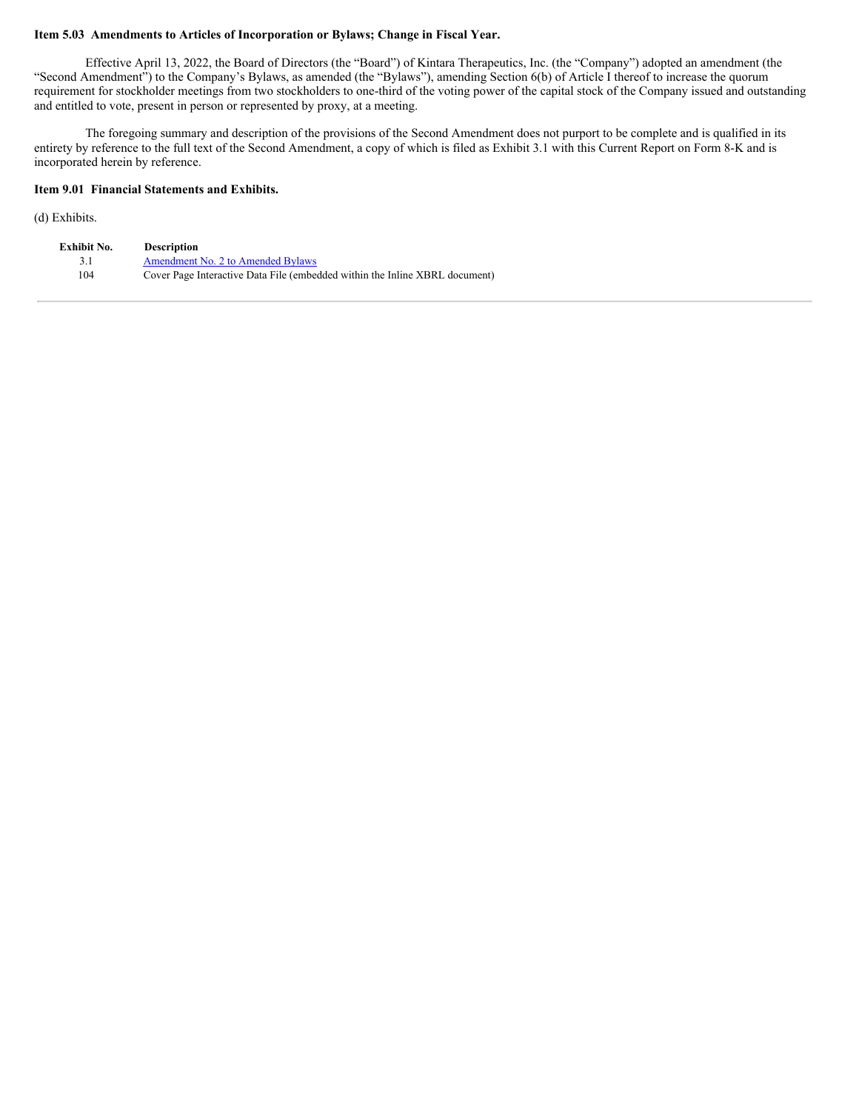## **Item 5.03 Amendments to Articles of Incorporation or Bylaws; Change in Fiscal Year.**

Effective April 13, 2022, the Board of Directors (the "Board") of Kintara Therapeutics, Inc. (the "Company") adopted an amendment (the "Second Amendment") to the Company's Bylaws, as amended (the "Bylaws"), amending Section 6(b) of Article I thereof to increase the quorum requirement for stockholder meetings from two stockholders to one-third of the voting power of the capital stock of the Company issued and outstanding and entitled to vote, present in person or represented by proxy, at a meeting.

The foregoing summary and description of the provisions of the Second Amendment does not purport to be complete and is qualified in its entirety by reference to the full text of the Second Amendment, a copy of which is filed as Exhibit 3.1 with this Current Report on Form 8-K and is incorporated herein by reference.

#### **Item 9.01 Financial Statements and Exhibits.**

(d) Exhibits.

| Exhibit No. | <b>Description</b>                                                          |
|-------------|-----------------------------------------------------------------------------|
|             | Amendment No. 2 to Amended Bylaws                                           |
| 104         | Cover Page Interactive Data File (embedded within the Inline XBRL document) |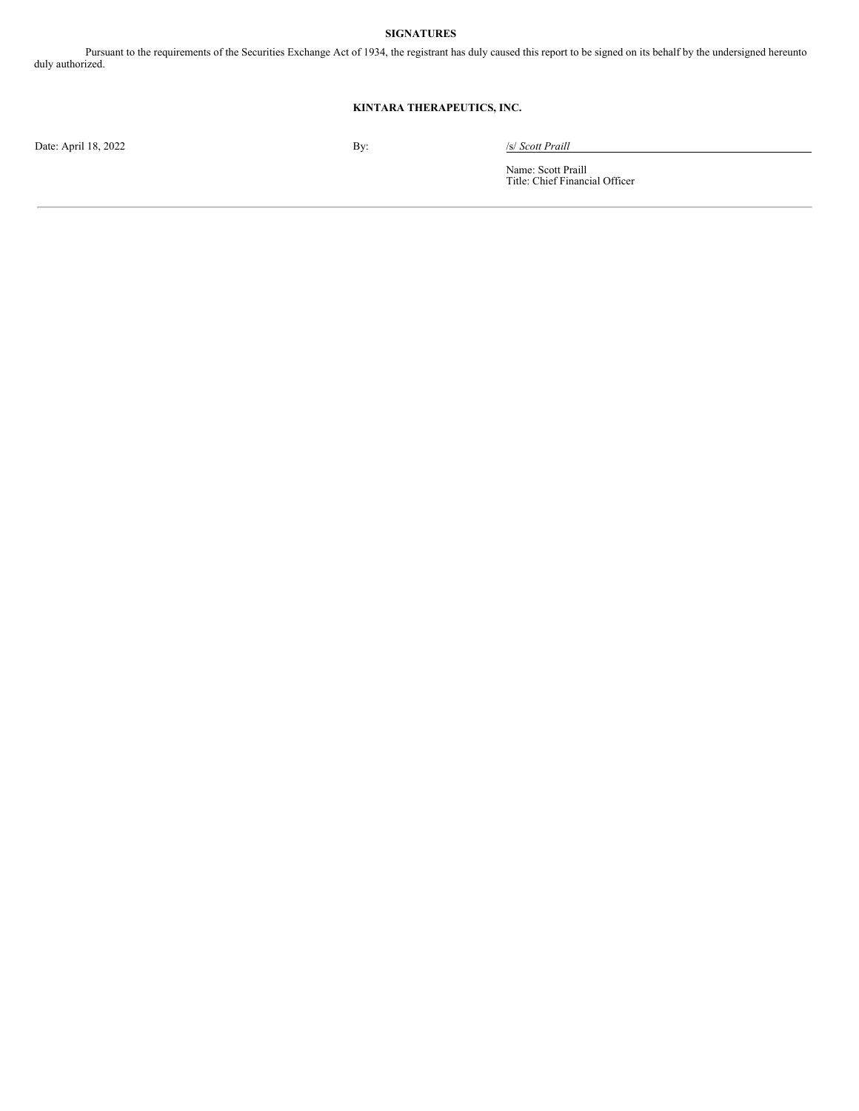## **SIGNATURES**

Pursuant to the requirements of the Securities Exchange Act of 1934, the registrant has duly caused this report to be signed on its behalf by the undersigned hereunto duly authorized.

# **KINTARA THERAPEUTICS, INC.**

Date: April 18, 2022 By: */s/ Scott Praill* 

Name: Scott Praill Title: Chief Financial Officer